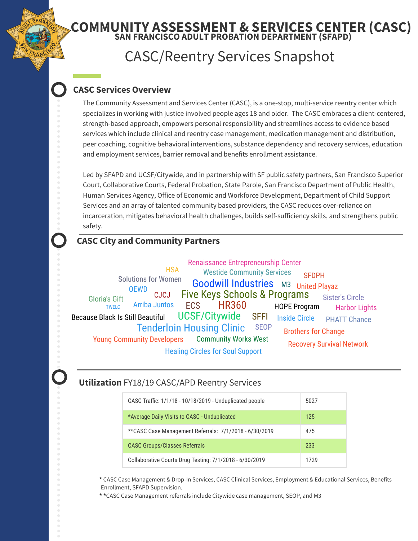## **SAN FRANCISCO ADULT PROBATION DEPARTMENT (SFAPD) COMMUNITY ASSESSMENT & SERVICES CENTER (CASC)**

# CASC/Reentry Services Snapshot

## **CASC Services Overview**

The Community Assessment and Services Center (CASC), is a one-stop, multi-service reentry center which specializes in working with justice involved people ages 18 and older. The CASC embraces a client-centered, strength-based approach, empowers personal responsibility and streamlines access to evidence based services which include clinical and reentry case management, medication management and distribution, peer coaching, cognitive behavioral interventions, substance dependency and recovery services, education and employment services, barrier removal and benefits enrollment assistance.

Led by SFAPD and UCSF/Citywide, and in partnership with SF public safety partners, San Francisco Superior Court, Collaborative Courts, Federal Probation, State Parole, San Francisco Department of Public Health, Human Services Agency, Office of Economic and Workforce Development, Department of Child Support Services and an array of talented community based providers, the CASC reduces over-reliance on incarceration, mitigates behavioral health challenges, builds self-sufficiency skills, and strengthens public safety.

## **CASC City and Community Partners**

HR360 Five Keys Schools & Programs UCSF/Citywide Goodwill Industries M3 United Playaz Tenderloin Housing Clinic **ECS** SFFI HOPE Program Inside Circle Arriba Juntos **SEOP** Community Works West Westide Community Services CJCJ Because Black Is Still Beautiful Brothers for Change Solutions for Women Sister's Circle OEWD PHATT Chance Young Community Developers Renaissance Entrepreneurship Center Healing Circles for Soul Support Gloria's Gift Recovery Survival Network Harbor Lights **SFDPH HSA** TWELC

### **Utilization** FY18/19 CASC/APD Reentry Services

| CASC Traffic: 1/1/18 - 10/18/2019 - Unduplicated people | 5027 |
|---------------------------------------------------------|------|
| *Average Daily Visits to CASC - Unduplicated            | 125  |
| ** CASC Case Management Referrals: 7/1/2018 - 6/30/2019 | 475  |
| <b>CASC Groups/Classes Referrals</b>                    | 233  |
| Collaborative Courts Drug Testing: 7/1/2018 - 6/30/2019 | 1729 |

**\*** CASC Case Management & Drop-In Services, CASC Clinical Services, Employment & Educational Services, Benefits Enrollment, SFAPD Supervision.

**\* \***CASC Case Management referrals include Citywide case management, SEOP, and M3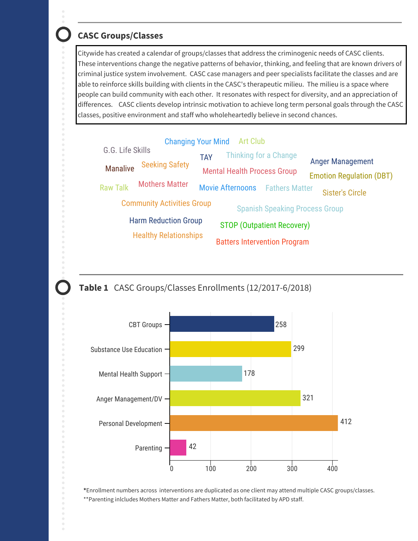## **CASC Groups/Classes**

Citywide has created a calendar of groups/classes that address the criminogenic needs of CASC clients. These interventions change the negative patterns of behavior, thinking, and feeling that are known drivers of criminal justice system involvement. CASC case managers and peer specialists facilitate the classes and are able to reinforce skills building with clients in the CASC's therapeutic milieu. The milieu is a space where people can build community with each other. It resonates with respect for diversity, and an appreciation of differences. CASC clients develop intrinsic motivation to achieve long term personal goals through the CASC classes, positive environment and staff who wholeheartedly believe in second chances.







**\***Enrollment numbers across interventions are duplicated as one client may attend multiple CASC groups/classes. \*\*Parenting inlcludes Mothers Matter and Fathers Matter, both facilitated by APD staff.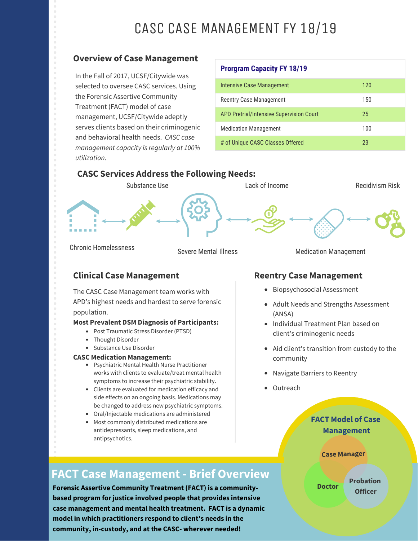# CASC CASE MANAGEMENT FY 18/19

#### **Overview of Case Management**

In the Fall of 2017, UCSF/Citywide was selected to oversee CASC services. Using the Forensic Assertive Community Treatment (FACT) model of case management, UCSF/Citywide adeptly serves clients based on their criminogenic and behavioral health needs. *CASC case management capacity is regularly at 100% utilization.*

# **Prorgram Capacity FY 18/19** Intensive Case Management 120 Reentry Case Management 150 APD Pretrial/Intensive Supervision Court 25 Medication Management 100 # of Unique CASC Classes Offered 23

#### **CASC Services Address the Following Needs:**



Chronic Homelessness

Severe Mental Illness

#### Medication Management

## **Clinical Case Management**  Reentry Case Management

The CASC Case Management team works with APD's highest needs and hardest to serve forensic population.

#### **Most Prevalent DSM Diagnosis of Participants:**

- Post Traumatic Stress Disorder (PTSD)
- Thought Disorder
- Substance Use Disorder

#### **CASC Medication Management:**

- Psychiatric Mental Health Nurse Practitioner works with clients to evaluate/treat mental health symptoms to increase their psychiatric stability.
- Clients are evaluated for medication efficacy and side effects on an ongoing basis. Medications may be changed to address new psychiatric symptoms.
- Oral/Injectable medications are administered
- Most commonly distributed medications are antidepressants, sleep medications, and antipsychotics.

- Biopsychosocial Assessment
- Adult Needs and Strengths Assessment (ANSA)
- Individual Treatment Plan based on client's criminogenic needs
- Aid client's transition from custody to the community
- Navigate Barriers to Reentry
- Outreach

#### **Management FACT Model of Case**

#### **Case Manager**

# **FACT Case Management - Brief Overview**

**Forensic Assertive Community Treatment (FACT) is a communitybased program for justice involved people that provides intensive case management and mental health treatment. FACT is a dynamic model in which practitioners respond to client's needs in the community, in-custody, and at the CASC- wherever needed!**

**Probation Doctor Officer**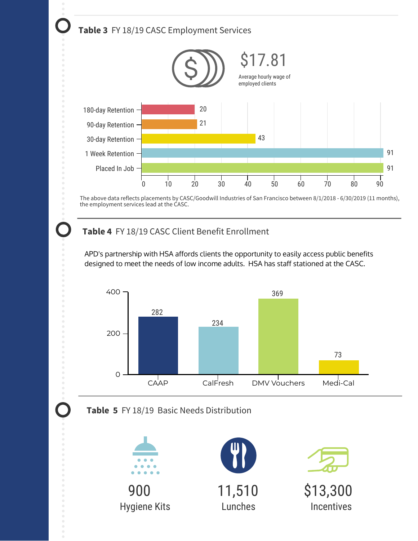

the employment services lead at the CASC.

# **Table 4** FY 18/19 CASC Client Benefit Enrollment

APD's partnership with HSA affords clients the opportunity to easily access public benefits designed to meet the needs of low income adults. HSA has staff stationed at the CASC.







Hygiene Kits